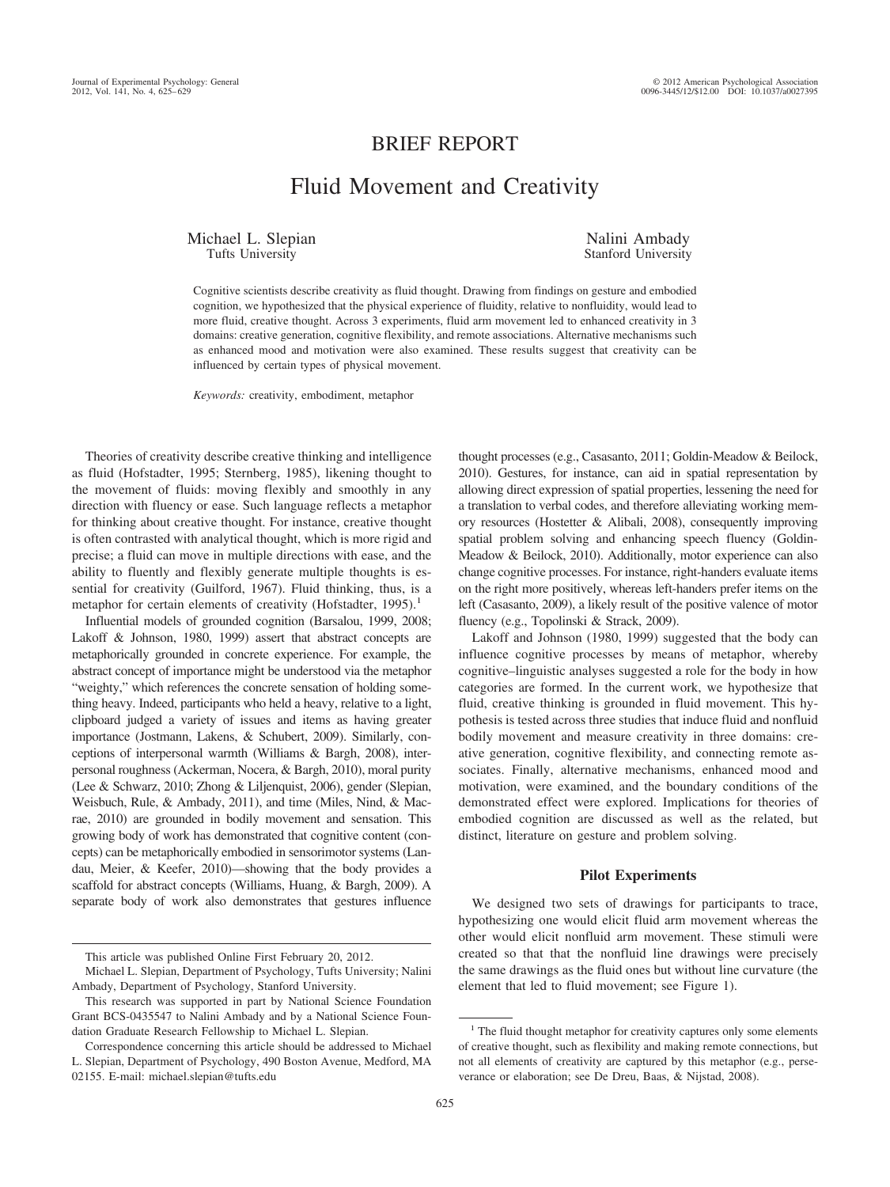## BRIEF REPORT

# Fluid Movement and Creativity

Michael L. Slepian Tufts University

Nalini Ambady Stanford University

Cognitive scientists describe creativity as fluid thought. Drawing from findings on gesture and embodied cognition, we hypothesized that the physical experience of fluidity, relative to nonfluidity, would lead to more fluid, creative thought. Across 3 experiments, fluid arm movement led to enhanced creativity in 3 domains: creative generation, cognitive flexibility, and remote associations. Alternative mechanisms such as enhanced mood and motivation were also examined. These results suggest that creativity can be influenced by certain types of physical movement.

*Keywords:* creativity, embodiment, metaphor

Theories of creativity describe creative thinking and intelligence as fluid (Hofstadter, 1995; Sternberg, 1985), likening thought to the movement of fluids: moving flexibly and smoothly in any direction with fluency or ease. Such language reflects a metaphor for thinking about creative thought. For instance, creative thought is often contrasted with analytical thought, which is more rigid and precise; a fluid can move in multiple directions with ease, and the ability to fluently and flexibly generate multiple thoughts is essential for creativity (Guilford, 1967). Fluid thinking, thus, is a metaphor for certain elements of creativity (Hofstadter,  $1995$ ).<sup>1</sup>

Influential models of grounded cognition (Barsalou, 1999, 2008; Lakoff & Johnson, 1980, 1999) assert that abstract concepts are metaphorically grounded in concrete experience. For example, the abstract concept of importance might be understood via the metaphor "weighty," which references the concrete sensation of holding something heavy. Indeed, participants who held a heavy, relative to a light, clipboard judged a variety of issues and items as having greater importance (Jostmann, Lakens, & Schubert, 2009). Similarly, conceptions of interpersonal warmth (Williams & Bargh, 2008), interpersonal roughness (Ackerman, Nocera, & Bargh, 2010), moral purity (Lee & Schwarz, 2010; Zhong & Liljenquist, 2006), gender (Slepian, Weisbuch, Rule, & Ambady, 2011), and time (Miles, Nind, & Macrae, 2010) are grounded in bodily movement and sensation. This growing body of work has demonstrated that cognitive content (concepts) can be metaphorically embodied in sensorimotor systems (Landau, Meier, & Keefer, 2010)—showing that the body provides a scaffold for abstract concepts (Williams, Huang, & Bargh, 2009). A separate body of work also demonstrates that gestures influence

thought processes (e.g., Casasanto, 2011; Goldin-Meadow & Beilock, 2010). Gestures, for instance, can aid in spatial representation by allowing direct expression of spatial properties, lessening the need for a translation to verbal codes, and therefore alleviating working memory resources (Hostetter & Alibali, 2008), consequently improving spatial problem solving and enhancing speech fluency (Goldin-Meadow & Beilock, 2010). Additionally, motor experience can also change cognitive processes. For instance, right-handers evaluate items on the right more positively, whereas left-handers prefer items on the left (Casasanto, 2009), a likely result of the positive valence of motor fluency (e.g., Topolinski & Strack, 2009).

Lakoff and Johnson (1980, 1999) suggested that the body can influence cognitive processes by means of metaphor, whereby cognitive–linguistic analyses suggested a role for the body in how categories are formed. In the current work, we hypothesize that fluid, creative thinking is grounded in fluid movement. This hypothesis is tested across three studies that induce fluid and nonfluid bodily movement and measure creativity in three domains: creative generation, cognitive flexibility, and connecting remote associates. Finally, alternative mechanisms, enhanced mood and motivation, were examined, and the boundary conditions of the demonstrated effect were explored. Implications for theories of embodied cognition are discussed as well as the related, but distinct, literature on gesture and problem solving.

## **Pilot Experiments**

We designed two sets of drawings for participants to trace, hypothesizing one would elicit fluid arm movement whereas the other would elicit nonfluid arm movement. These stimuli were created so that that the nonfluid line drawings were precisely the same drawings as the fluid ones but without line curvature (the element that led to fluid movement; see Figure 1).

This article was published Online First February 20, 2012.

Michael L. Slepian, Department of Psychology, Tufts University; Nalini Ambady, Department of Psychology, Stanford University.

This research was supported in part by National Science Foundation Grant BCS-0435547 to Nalini Ambady and by a National Science Foundation Graduate Research Fellowship to Michael L. Slepian.

Correspondence concerning this article should be addressed to Michael L. Slepian, Department of Psychology, 490 Boston Avenue, Medford, MA 02155. E-mail: michael.slepian@tufts.edu

<sup>&</sup>lt;sup>1</sup> The fluid thought metaphor for creativity captures only some elements of creative thought, such as flexibility and making remote connections, but not all elements of creativity are captured by this metaphor (e.g., perseverance or elaboration; see De Dreu, Baas, & Nijstad, 2008).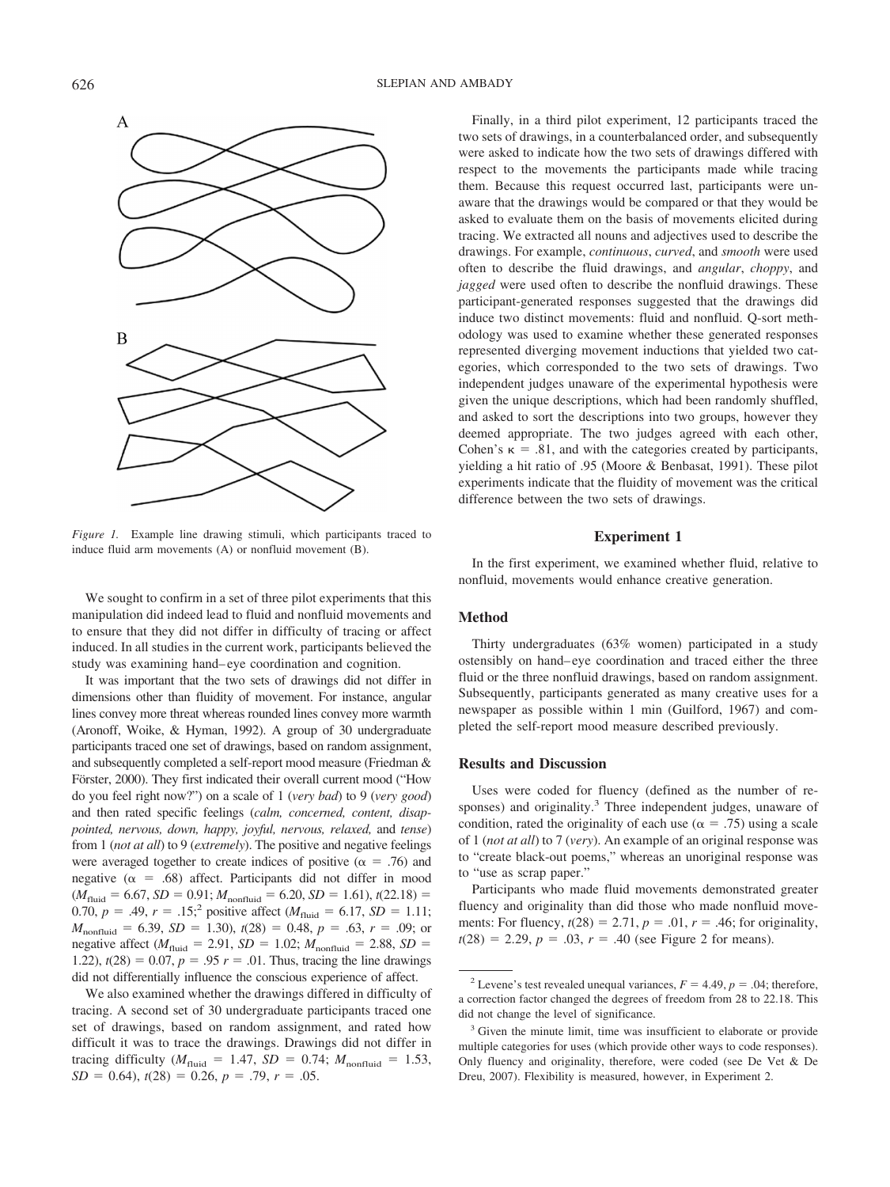

*Figure 1.* Example line drawing stimuli, which participants traced to induce fluid arm movements (A) or nonfluid movement (B).

We sought to confirm in a set of three pilot experiments that this manipulation did indeed lead to fluid and nonfluid movements and to ensure that they did not differ in difficulty of tracing or affect induced. In all studies in the current work, participants believed the study was examining hand– eye coordination and cognition.

It was important that the two sets of drawings did not differ in dimensions other than fluidity of movement. For instance, angular lines convey more threat whereas rounded lines convey more warmth (Aronoff, Woike, & Hyman, 1992). A group of 30 undergraduate participants traced one set of drawings, based on random assignment, and subsequently completed a self-report mood measure (Friedman & Förster, 2000). They first indicated their overall current mood ("How do you feel right now?") on a scale of 1 (*very bad*) to 9 (*very good*) and then rated specific feelings (*calm, concerned, content, disappointed, nervous, down, happy, joyful, nervous, relaxed,* and *tense*) from 1 (*not at all*) to 9 (*extremely*). The positive and negative feelings were averaged together to create indices of positive ( $\alpha = .76$ ) and negative ( $\alpha$  = .68) affect. Participants did not differ in mood  $(M_{\text{fluid}} = 6.67, SD = 0.91; M_{\text{nonfluid}} = 6.20, SD = 1.61), t(22.18) =$ 0.70,  $p = .49$ ,  $r = .15$ ;<sup>2</sup> positive affect ( $M_{\text{fluid}} = 6.17$ ,  $SD = 1.11$ ;  $M_{\text{nonfluid}} = 6.39, SD = 1.30, t(28) = 0.48, p = .63, r = .09;$  or negative affect  $(M_{\text{fluid}} = 2.91, SD = 1.02; M_{\text{nonfluid}} = 2.88, SD =$ 1.22),  $t(28) = 0.07$ ,  $p = .95$   $r = .01$ . Thus, tracing the line drawings did not differentially influence the conscious experience of affect.

We also examined whether the drawings differed in difficulty of tracing. A second set of 30 undergraduate participants traced one set of drawings, based on random assignment, and rated how difficult it was to trace the drawings. Drawings did not differ in tracing difficulty ( $M_{\text{fluid}} = 1.47$ ,  $SD = 0.74$ ;  $M_{\text{nonfluid}} = 1.53$ ,  $SD = 0.64$ ,  $t(28) = 0.26$ ,  $p = .79$ ,  $r = .05$ .

Finally, in a third pilot experiment, 12 participants traced the two sets of drawings, in a counterbalanced order, and subsequently were asked to indicate how the two sets of drawings differed with respect to the movements the participants made while tracing them. Because this request occurred last, participants were unaware that the drawings would be compared or that they would be asked to evaluate them on the basis of movements elicited during tracing. We extracted all nouns and adjectives used to describe the drawings. For example, *continuous*, *curved*, and *smooth* were used often to describe the fluid drawings, and *angular*, *choppy*, and *jagged* were used often to describe the nonfluid drawings. These participant-generated responses suggested that the drawings did induce two distinct movements: fluid and nonfluid. Q-sort methodology was used to examine whether these generated responses represented diverging movement inductions that yielded two categories, which corresponded to the two sets of drawings. Two independent judges unaware of the experimental hypothesis were given the unique descriptions, which had been randomly shuffled, and asked to sort the descriptions into two groups, however they deemed appropriate. The two judges agreed with each other, Cohen's  $\kappa = .81$ , and with the categories created by participants, yielding a hit ratio of .95 (Moore & Benbasat, 1991). These pilot experiments indicate that the fluidity of movement was the critical difference between the two sets of drawings.

#### **Experiment 1**

In the first experiment, we examined whether fluid, relative to nonfluid, movements would enhance creative generation.

#### **Method**

Thirty undergraduates (63% women) participated in a study ostensibly on hand– eye coordination and traced either the three fluid or the three nonfluid drawings, based on random assignment. Subsequently, participants generated as many creative uses for a newspaper as possible within 1 min (Guilford, 1967) and completed the self-report mood measure described previously.

## **Results and Discussion**

Uses were coded for fluency (defined as the number of responses) and originality.<sup>3</sup> Three independent judges, unaware of condition, rated the originality of each use ( $\alpha = .75$ ) using a scale of 1 (*not at all*) to 7 (*very*). An example of an original response was to "create black-out poems," whereas an unoriginal response was to "use as scrap paper."

Participants who made fluid movements demonstrated greater fluency and originality than did those who made nonfluid movements: For fluency,  $t(28) = 2.71$ ,  $p = .01$ ,  $r = .46$ ; for originality,  $t(28) = 2.29, p = .03, r = .40$  (see Figure 2 for means).

<sup>&</sup>lt;sup>2</sup> Levene's test revealed unequal variances,  $F = 4.49$ ,  $p = .04$ ; therefore, a correction factor changed the degrees of freedom from 28 to 22.18. This did not change the level of significance.

<sup>&</sup>lt;sup>3</sup> Given the minute limit, time was insufficient to elaborate or provide multiple categories for uses (which provide other ways to code responses). Only fluency and originality, therefore, were coded (see De Vet & De Dreu, 2007). Flexibility is measured, however, in Experiment 2.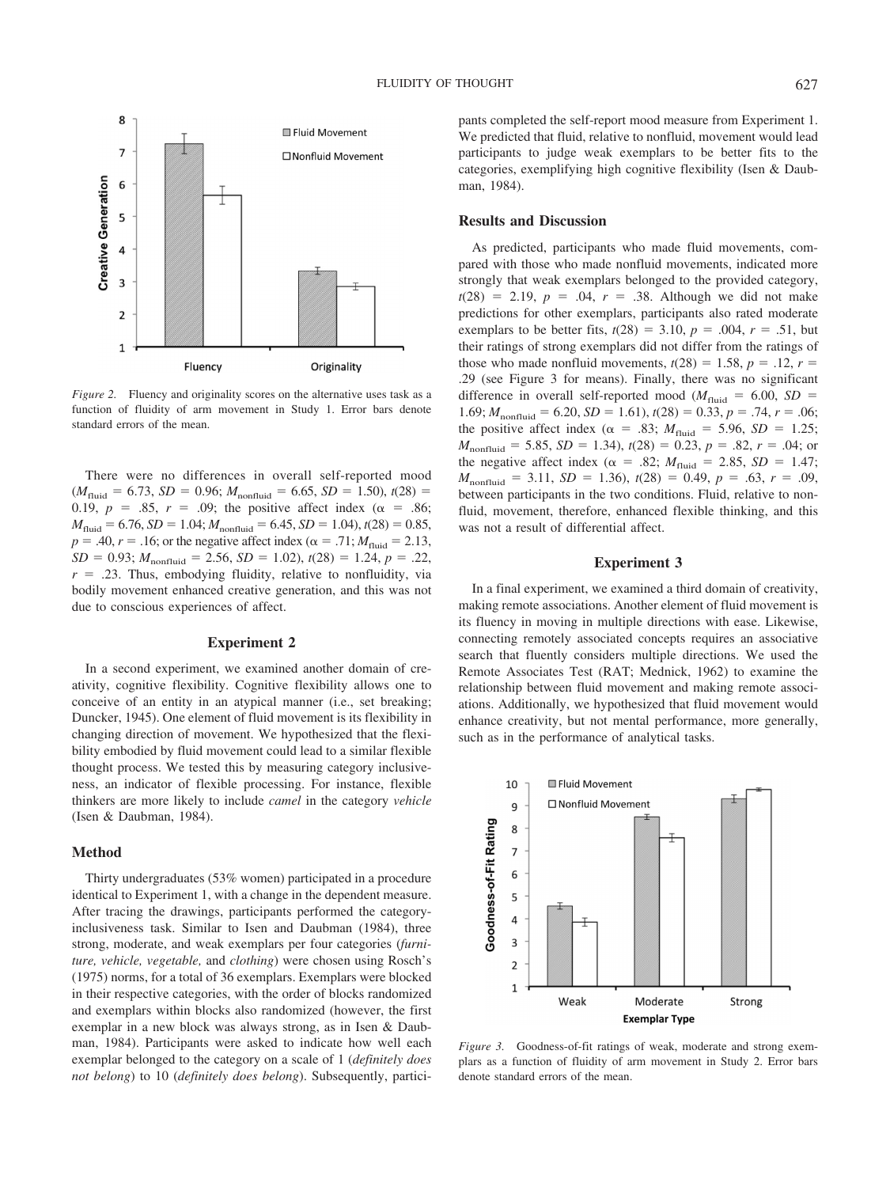

*Figure 2.* Fluency and originality scores on the alternative uses task as a function of fluidity of arm movement in Study 1. Error bars denote standard errors of the mean.

There were no differences in overall self-reported mood  $(M_{\text{fluid}} = 6.73, SD = 0.96; M_{\text{nonfluid}} = 6.65, SD = 1.50, t(28) =$ 0.19,  $p = .85$ ,  $r = .09$ ; the positive affect index ( $\alpha = .86$ ;  $M_{\text{fluid}} = 6.76$ , *SD* = 1.04;  $M_{\text{nonfluid}} = 6.45$ , *SD* = 1.04), *t*(28) = 0.85,  $p = .40, r = .16$ ; or the negative affect index ( $\alpha = .71; M_{\text{fluid}} = 2.13$ ,  $SD = 0.93; M_{nonfluid} = 2.56, SD = 1.02, t(28) = 1.24, p = .22,$  $r = .23$ . Thus, embodying fluidity, relative to nonfluidity, via bodily movement enhanced creative generation, and this was not due to conscious experiences of affect.

## **Experiment 2**

In a second experiment, we examined another domain of creativity, cognitive flexibility. Cognitive flexibility allows one to conceive of an entity in an atypical manner (i.e., set breaking; Duncker, 1945). One element of fluid movement is its flexibility in changing direction of movement. We hypothesized that the flexibility embodied by fluid movement could lead to a similar flexible thought process. We tested this by measuring category inclusiveness, an indicator of flexible processing. For instance, flexible thinkers are more likely to include *camel* in the category *vehicle* (Isen & Daubman, 1984).

#### **Method**

Thirty undergraduates (53% women) participated in a procedure identical to Experiment 1, with a change in the dependent measure. After tracing the drawings, participants performed the categoryinclusiveness task. Similar to Isen and Daubman (1984), three strong, moderate, and weak exemplars per four categories (*furniture, vehicle, vegetable,* and *clothing*) were chosen using Rosch's (1975) norms, for a total of 36 exemplars. Exemplars were blocked in their respective categories, with the order of blocks randomized and exemplars within blocks also randomized (however, the first exemplar in a new block was always strong, as in Isen & Daubman, 1984). Participants were asked to indicate how well each exemplar belonged to the category on a scale of 1 (*definitely does not belong*) to 10 (*definitely does belong*). Subsequently, participants completed the self-report mood measure from Experiment 1. We predicted that fluid, relative to nonfluid, movement would lead participants to judge weak exemplars to be better fits to the categories, exemplifying high cognitive flexibility (Isen & Daubman, 1984).

## **Results and Discussion**

As predicted, participants who made fluid movements, compared with those who made nonfluid movements, indicated more strongly that weak exemplars belonged to the provided category,  $t(28) = 2.19, p = .04, r = .38.$  Although we did not make predictions for other exemplars, participants also rated moderate exemplars to be better fits,  $t(28) = 3.10$ ,  $p = .004$ ,  $r = .51$ , but their ratings of strong exemplars did not differ from the ratings of those who made nonfluid movements,  $t(28) = 1.58$ ,  $p = .12$ ,  $r =$ .29 (see Figure 3 for means). Finally, there was no significant difference in overall self-reported mood ( $M_{\text{fluid}} = 6.00$ ,  $SD =$ 1.69;  $M_{\text{nonfluid}} = 6.20$ ,  $SD = 1.61$ ),  $t(28) = 0.33$ ,  $p = .74$ ,  $r = .06$ ; the positive affect index ( $\alpha = .83$ ;  $M_{\text{fluid}} = 5.96$ ,  $SD = 1.25$ ;  $M_{\text{nonfluid}} = 5.85, SD = 1.34, t(28) = 0.23, p = .82, r = .04;$  or the negative affect index ( $\alpha = .82$ ;  $M_{\text{fluid}} = 2.85$ ,  $SD = 1.47$ ;  $M_{\text{nonfluid}} = 3.11, SD = 1.36, t(28) = 0.49, p = .63, r = .09,$ between participants in the two conditions. Fluid, relative to nonfluid, movement, therefore, enhanced flexible thinking, and this was not a result of differential affect.

## **Experiment 3**

In a final experiment, we examined a third domain of creativity, making remote associations. Another element of fluid movement is its fluency in moving in multiple directions with ease. Likewise, connecting remotely associated concepts requires an associative search that fluently considers multiple directions. We used the Remote Associates Test (RAT; Mednick, 1962) to examine the relationship between fluid movement and making remote associations. Additionally, we hypothesized that fluid movement would enhance creativity, but not mental performance, more generally, such as in the performance of analytical tasks.



*Figure 3.* Goodness-of-fit ratings of weak, moderate and strong exemplars as a function of fluidity of arm movement in Study 2. Error bars denote standard errors of the mean.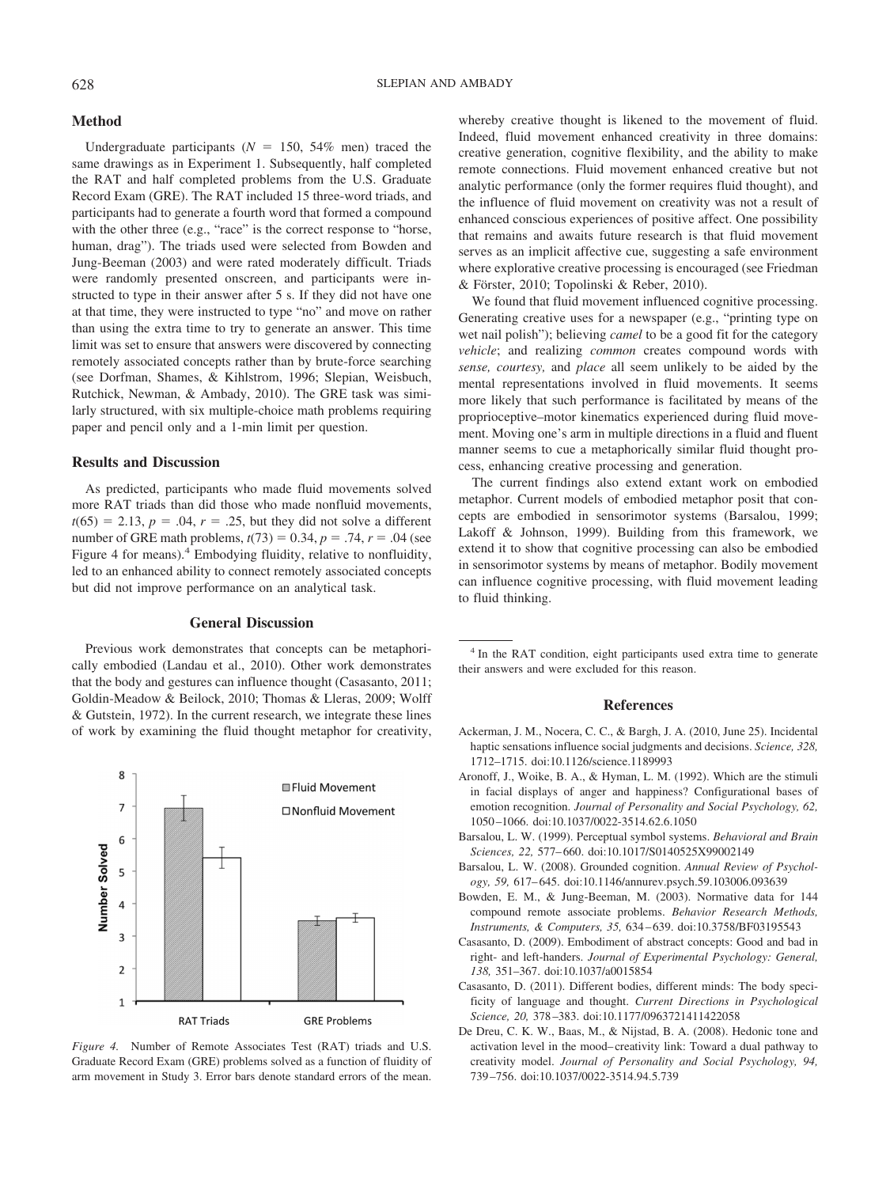## **Method**

Undergraduate participants ( $N = 150, 54\%$  men) traced the same drawings as in Experiment 1. Subsequently, half completed the RAT and half completed problems from the U.S. Graduate Record Exam (GRE). The RAT included 15 three-word triads, and participants had to generate a fourth word that formed a compound with the other three (e.g., "race" is the correct response to "horse, human, drag"). The triads used were selected from Bowden and Jung-Beeman (2003) and were rated moderately difficult. Triads were randomly presented onscreen, and participants were instructed to type in their answer after 5 s. If they did not have one at that time, they were instructed to type "no" and move on rather than using the extra time to try to generate an answer. This time limit was set to ensure that answers were discovered by connecting remotely associated concepts rather than by brute-force searching (see Dorfman, Shames, & Kihlstrom, 1996; Slepian, Weisbuch, Rutchick, Newman, & Ambady, 2010). The GRE task was similarly structured, with six multiple-choice math problems requiring paper and pencil only and a 1-min limit per question.

## **Results and Discussion**

As predicted, participants who made fluid movements solved more RAT triads than did those who made nonfluid movements,  $t(65) = 2.13, p = .04, r = .25$ , but they did not solve a different number of GRE math problems,  $t(73) = 0.34$ ,  $p = .74$ ,  $r = .04$  (see Figure 4 for means).<sup>4</sup> Embodying fluidity, relative to nonfluidity, led to an enhanced ability to connect remotely associated concepts but did not improve performance on an analytical task.

#### **General Discussion**

Previous work demonstrates that concepts can be metaphorically embodied (Landau et al., 2010). Other work demonstrates that the body and gestures can influence thought (Casasanto, 2011; Goldin-Meadow & Beilock, 2010; Thomas & Lleras, 2009; Wolff & Gutstein, 1972). In the current research, we integrate these lines of work by examining the fluid thought metaphor for creativity,



*Figure 4.* Number of Remote Associates Test (RAT) triads and U.S. Graduate Record Exam (GRE) problems solved as a function of fluidity of arm movement in Study 3. Error bars denote standard errors of the mean.

whereby creative thought is likened to the movement of fluid. Indeed, fluid movement enhanced creativity in three domains: creative generation, cognitive flexibility, and the ability to make remote connections. Fluid movement enhanced creative but not analytic performance (only the former requires fluid thought), and the influence of fluid movement on creativity was not a result of enhanced conscious experiences of positive affect. One possibility that remains and awaits future research is that fluid movement serves as an implicit affective cue, suggesting a safe environment where explorative creative processing is encouraged (see Friedman & Förster, 2010; Topolinski & Reber, 2010).

We found that fluid movement influenced cognitive processing. Generating creative uses for a newspaper (e.g., "printing type on wet nail polish"); believing *camel* to be a good fit for the category *vehicle*; and realizing *common* creates compound words with *sense, courtesy,* and *place* all seem unlikely to be aided by the mental representations involved in fluid movements. It seems more likely that such performance is facilitated by means of the proprioceptive–motor kinematics experienced during fluid movement. Moving one's arm in multiple directions in a fluid and fluent manner seems to cue a metaphorically similar fluid thought process, enhancing creative processing and generation.

The current findings also extend extant work on embodied metaphor. Current models of embodied metaphor posit that concepts are embodied in sensorimotor systems (Barsalou, 1999; Lakoff & Johnson, 1999). Building from this framework, we extend it to show that cognitive processing can also be embodied in sensorimotor systems by means of metaphor. Bodily movement can influence cognitive processing, with fluid movement leading to fluid thinking.

<sup>4</sup> In the RAT condition, eight participants used extra time to generate their answers and were excluded for this reason.

## **References**

- Ackerman, J. M., Nocera, C. C., & Bargh, J. A. (2010, June 25). Incidental haptic sensations influence social judgments and decisions. *Science, 328,* 1712–1715. doi:10.1126/science.1189993
- Aronoff, J., Woike, B. A., & Hyman, L. M. (1992). Which are the stimuli in facial displays of anger and happiness? Configurational bases of emotion recognition. *Journal of Personality and Social Psychology, 62,* 1050 –1066. doi:10.1037/0022-3514.62.6.1050
- Barsalou, L. W. (1999). Perceptual symbol systems. *Behavioral and Brain Sciences, 22,* 577– 660. doi:10.1017/S0140525X99002149
- Barsalou, L. W. (2008). Grounded cognition. *Annual Review of Psychology, 59,* 617– 645. doi:10.1146/annurev.psych.59.103006.093639
- Bowden, E. M., & Jung-Beeman, M. (2003). Normative data for 144 compound remote associate problems. *Behavior Research Methods, Instruments, & Computers, 35,* 634 – 639. doi:10.3758/BF03195543
- Casasanto, D. (2009). Embodiment of abstract concepts: Good and bad in right- and left-handers. *Journal of Experimental Psychology: General, 138,* 351–367. doi:10.1037/a0015854
- Casasanto, D. (2011). Different bodies, different minds: The body specificity of language and thought. *Current Directions in Psychological Science, 20,* 378 –383. doi:10.1177/0963721411422058
- De Dreu, C. K. W., Baas, M., & Nijstad, B. A. (2008). Hedonic tone and activation level in the mood– creativity link: Toward a dual pathway to creativity model. *Journal of Personality and Social Psychology, 94,* 739 –756. doi:10.1037/0022-3514.94.5.739